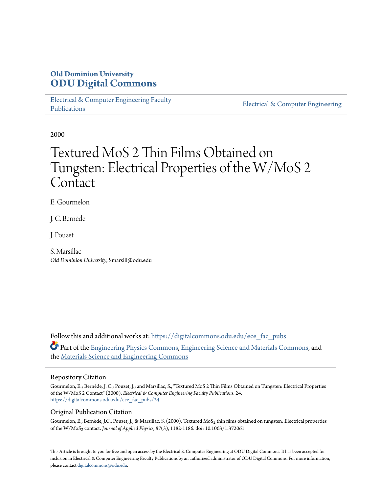## **Old Dominion University [ODU Digital Commons](https://digitalcommons.odu.edu?utm_source=digitalcommons.odu.edu%2Fece_fac_pubs%2F24&utm_medium=PDF&utm_campaign=PDFCoverPages)**

[Electrical & Computer Engineering Faculty](https://digitalcommons.odu.edu/ece_fac_pubs?utm_source=digitalcommons.odu.edu%2Fece_fac_pubs%2F24&utm_medium=PDF&utm_campaign=PDFCoverPages) [Publications](https://digitalcommons.odu.edu/ece_fac_pubs?utm_source=digitalcommons.odu.edu%2Fece_fac_pubs%2F24&utm_medium=PDF&utm_campaign=PDFCoverPages)

[Electrical & Computer Engineering](https://digitalcommons.odu.edu/ece?utm_source=digitalcommons.odu.edu%2Fece_fac_pubs%2F24&utm_medium=PDF&utm_campaign=PDFCoverPages)

2000

# Textured MoS 2 Thin Films Obtained on Tungsten: Electrical Properties of the W/MoS 2 Contact

E. Gourmelon

J. C. Bernède

J. Pouzet

S. Marsillac *Old Dominion University*, Smarsill@odu.edu

Follow this and additional works at: [https://digitalcommons.odu.edu/ece\\_fac\\_pubs](https://digitalcommons.odu.edu/ece_fac_pubs?utm_source=digitalcommons.odu.edu%2Fece_fac_pubs%2F24&utm_medium=PDF&utm_campaign=PDFCoverPages) Part of the [Engineering Physics Commons](http://network.bepress.com/hgg/discipline/200?utm_source=digitalcommons.odu.edu%2Fece_fac_pubs%2F24&utm_medium=PDF&utm_campaign=PDFCoverPages), [Engineering Science and Materials Commons,](http://network.bepress.com/hgg/discipline/279?utm_source=digitalcommons.odu.edu%2Fece_fac_pubs%2F24&utm_medium=PDF&utm_campaign=PDFCoverPages) and the [Materials Science and Engineering Commons](http://network.bepress.com/hgg/discipline/285?utm_source=digitalcommons.odu.edu%2Fece_fac_pubs%2F24&utm_medium=PDF&utm_campaign=PDFCoverPages)

### Repository Citation

Gourmelon, E.; Bernède, J. C.; Pouzet, J.; and Marsillac, S., "Textured MoS 2 Thin Films Obtained on Tungsten: Electrical Properties of the W/MoS 2 Contact" (2000). *Electrical & Computer Engineering Faculty Publications*. 24. [https://digitalcommons.odu.edu/ece\\_fac\\_pubs/24](https://digitalcommons.odu.edu/ece_fac_pubs/24?utm_source=digitalcommons.odu.edu%2Fece_fac_pubs%2F24&utm_medium=PDF&utm_campaign=PDFCoverPages)

## Original Publication Citation

Gourmelon, E., Bernède, J.C., Pouzet, J., & Marsillac, S. (2000). Textured MoS<sub>2</sub> thin films obtained on tungsten: Electrical properties of the W/MoS2 contact. *Journal of Applied Physics, 87*(3), 1182-1186. doi: 10.1063/1.372061

This Article is brought to you for free and open access by the Electrical & Computer Engineering at ODU Digital Commons. It has been accepted for inclusion in Electrical & Computer Engineering Faculty Publications by an authorized administrator of ODU Digital Commons. For more information, please contact [digitalcommons@odu.edu](mailto:digitalcommons@odu.edu).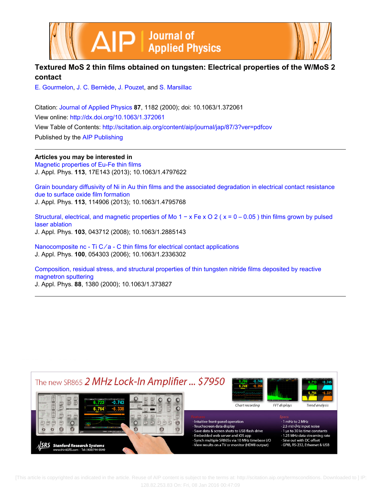



## **Textured MoS 2 thin films obtained on tungsten: Electrical properties of the W/MoS 2 contact**

[E. Gourmelon,](http://scitation.aip.org/search?value1=E.+Gourmelon&option1=author) [J. C. Bernède](http://scitation.aip.org/search?value1=J.+C.+Bern�de&option1=author), [J. Pouzet](http://scitation.aip.org/search?value1=J.+Pouzet&option1=author), and [S. Marsillac](http://scitation.aip.org/search?value1=S.+Marsillac&option1=author)

Citation: [Journal of Applied Physics](http://scitation.aip.org/content/aip/journal/jap?ver=pdfcov) **87**, 1182 (2000); doi: 10.1063/1.372061 View online: <http://dx.doi.org/10.1063/1.372061> View Table of Contents: <http://scitation.aip.org/content/aip/journal/jap/87/3?ver=pdfcov> Published by the [AIP Publishing](http://scitation.aip.org/content/aip?ver=pdfcov)

**Articles you may be interested in**

[Magnetic properties of Eu-Fe thin films](http://scitation.aip.org/content/aip/journal/jap/113/17/10.1063/1.4797622?ver=pdfcov) J. Appl. Phys. **113**, 17E143 (2013); 10.1063/1.4797622

[Grain boundary diffusivity of Ni in Au thin films and the associated degradation in electrical contact resistance](http://scitation.aip.org/content/aip/journal/jap/113/11/10.1063/1.4795768?ver=pdfcov) [due to surface oxide film formation](http://scitation.aip.org/content/aip/journal/jap/113/11/10.1063/1.4795768?ver=pdfcov) J. Appl. Phys. **113**, 114906 (2013); 10.1063/1.4795768

Structural, electrical, and magnetic properties of Mo 1 – x Fe x O 2 ( $x = 0 - 0.05$ ) thin films grown by pulsed [laser ablation](http://scitation.aip.org/content/aip/journal/jap/103/4/10.1063/1.2885143?ver=pdfcov) J. Appl. Phys. **103**, 043712 (2008); 10.1063/1.2885143

Nanocomposite nc - Ti  $C/a$  - C thin films for electrical contact applications J. Appl. Phys. **100**, 054303 (2006); 10.1063/1.2336302

[Composition, residual stress, and structural properties of thin tungsten nitride films deposited by reactive](http://scitation.aip.org/content/aip/journal/jap/88/3/10.1063/1.373827?ver=pdfcov) [magnetron sputtering](http://scitation.aip.org/content/aip/journal/jap/88/3/10.1063/1.373827?ver=pdfcov) J. Appl. Phys. **88**, 1380 (2000); 10.1063/1.373827



 [This article is copyrighted as indicated in the article. Reuse of AIP content is subject to the terms at: http://scitation.aip.org/termsconditions. Downloaded to ] IP: 128.82.253.83 On: Fri, 08 Jan 2016 00:47:09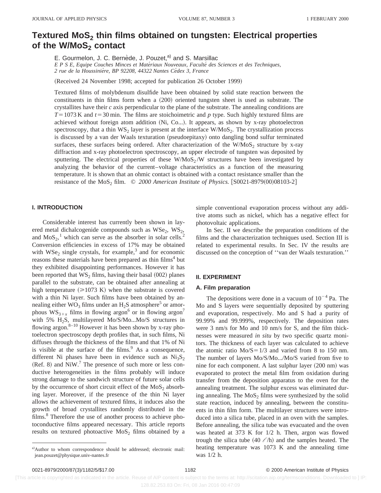# Textured MoS<sub>2</sub> thin films obtained on tungsten: Electrical properties of the W/MoS<sub>2</sub> contact

E. Gourmelon, J. C. Bernède, J. Pouzet, $a^{\text{a}}$  and S. Marsillac *E P S E, Equipe Couches Minces et Mate´riaux Nouveaux, Faculte´ des Sciences et des Techniques, 2 rue de la Houssinie`re, BP 92208, 44322 Nantes Ce´dex 3, France*

(Received 24 November 1998; accepted for publication 26 October 1999)

Textured films of molybdenum disulfide have been obtained by solid state reaction between the constituents in thin films form when a  $(200)$  oriented tungsten sheet is used as substrate. The crystallites have their *c* axis perpendicular to the plane of the substrate. The annealing conditions are  $T=1073$  K and  $t=30$  min. The films are stoichoimetric and *p* type. Such highly textured films are achieved without foreign atom addition  $(Ni, Co...)$ . It appears, as shown by x-ray photoelectron spectroscopy, that a thin  $WS_2$  layer is present at the interface  $W/MoS_2$ . The crystallization process is discussed by a van der Waals texturation (pseudoepitaxy) onto dangling bond sulfur terminated surfaces, these surfaces being ordered. After characterization of the  $W/MoS<sub>2</sub>$  structure by x-ray diffraction and x-ray photoelectron spectroscopy, an upper electrode of tungsten was deposited by sputtering. The electrical properties of these  $W/MoS<sub>2</sub>/W$  structures have been investigated by analyzing the behavior of the current–voltage characteristics as a function of the measuring temperature. It is shown that an ohmic contact is obtained with a contact resistance smaller than the resistance of the MoS<sub>2</sub> film.  $\degree$  2000 American Institute of Physics. [S0021-8979(00)08103-2]

#### **I. INTRODUCTION**

Considerable interest has currently been shown in layered metal dichalcogenide compounds such as  $WSe<sub>2</sub>$ ,  $WS<sub>2</sub>$ , and  $MoS_2$ ,<sup>1</sup> which can serve as the absorber in solar cells.<sup>2</sup> Conversion efficiencies in excess of 17% may be obtained with  $WSe<sub>2</sub>$  single crystals, for example,<sup>3</sup> and for economic reasons these materials have been prepared as thin films<sup>4</sup> but they exhibited disappointing performances. However it has been reported that  $WS_2$  films, having their basal  $(002)$  planes parallel to the substrate, can be obtained after annealing at high temperature  $(\geq 1073 \text{ K})$  when the substrate is covered with a thin Ni layer. Such films have been obtained by annealing either  $WO_3$  films under an  $H_2S$  atmosphere<sup>5</sup> or amorphous  $WS_{3+x}$  films in flowing argon<sup>6</sup> or in flowing argon<sup>7</sup> with 5% H2S, multilayered Mo/S/Mo...Mo/S structures in flowing argon.<sup>8–10</sup> However it has been shown by x-ray photoelectron spectroscopy depth profiles that, in such films, Ni diffuses through the thickness of the films and that 1% of Ni is visible at the surface of the films. $9$  As a consequence, different Ni phases have been in evidence such as  $Ni<sub>3</sub>S<sub>2</sub>$  $(Ref. 8)$  and NiW.<sup>7</sup> The presence of such more or less conductive heterogeneities in the films probably will induce strong damage to the sandwich structure of future solar cells by the occurrence of short circuit effect of the  $MoS<sub>2</sub>$  absorbing layer. Moreover, if the presence of the thin Ni layer allows the achievement of textured films, it induces also the growth of broad crystallites randomly distributed in the films.<sup>8</sup> Therefore the use of another process to achieve photoconductive films appeared necessary. This article reports results on textured photoactive  $MoS<sub>2</sub>$  films obtained by a simple conventional evaporation process without any additive atoms such as nickel, which has a negative effect for photovoltaic applications.

In Sec. II we describe the preparation conditions of the films and the characterization techniques used. Section III is related to experimental results. In Sec. IV the results are discussed on the conception of ''van der Waals texturation.''

#### **II. EXPERIMENT**

#### **A. Film preparation**

The depositions were done in a vacuum of  $10^{-4}$  Pa. The Mo and S layers were sequentially deposited by sputtering and evaporation, respectively. Mo and S had a purity of 99.99% and 99.999%, respectively. The deposition rates were 3 nm/s for Mo and 10 nm/s for S, and the film thicknesses were measured *in situ* by two specific quartz monitors. The thickness of each layer was calculated to achieve the atomic ratio  $Mo/S = 1/3$  and varied from 8 to 150 nm. The number of layers Mo/S/Mo.../Mo/S varied from five to nine for each component. A last sulphur layer (200 nm) was evaporated to protect the metal film from oxidation during transfer from the deposition apparatus to the oven for the annealing treatment. The sulphur excess was eliminated during annealing. The  $MoS<sub>2</sub>$  films were synthesized by the solid state reaction, induced by annealing, between the constituents in thin film form. The multilayer structures were introduced into a silica tube, placed in an oven with the samples. Before annealing, the silica tube was evacuated and the oven was heated at 373 K for 1/2 h. Then, argon was flowed trough the silica tube  $(40 \n $\ell/h$ )$  and the samples heated. The heating temperature was 1073 K and the annealing time was 1/2 h.

 [This article is copyrighted as indicated in the article. Reuse of AIP content is subject to the terms at: http://scitation.aip.org/termsconditions. Downloaded to ] IP: 128.82.253.83 On: Fri, 08 Jan 2016 00:47:09

a)Author to whom correspondence should be addressed; electronic mail: jean.pouzet@physique.univ-nantes.fr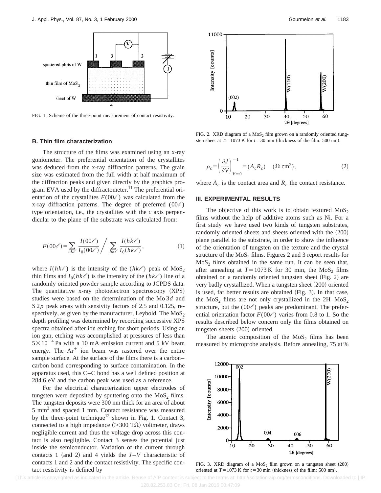

FIG. 1. Scheme of the three-point measurement of contact resistivity.

#### **B. Thin film characterization**

The structure of the films was examined using an x-ray goniometer. The preferential orientation of the crystallites was deduced from the x-ray diffraction patterns. The grain size was estimated from the full width at half maximum of the diffraction peaks and given directly by the graphics program EVA used by the diffractometer.<sup>11</sup> The preferential orientation of the crystallites  $F(00\ell)$  was calculated from the x-ray diffraction patterns. The degree of preferred (00*l* ) type orientation, i.e., the crystallites with the *c* axis perpendicular to the plane of the substrate was calculated from:

$$
F(00\ell) = \sum_{hk\ell} \frac{I(00\ell)}{I_0(00\ell)} / \sum_{hk\ell} \frac{I(hk\ell)}{I_0(hk\ell)},
$$
(1)

where  $I(hk\ell)$  is the intensity of the  $(hk\ell)$  peak of MoS<sub>2</sub> thin films and  $I_0(hk\ell)$  is the intensity of the  $(hk\ell)$  line of a randomly oriented powder sample according to JCPDS data. The quantitative x-ray photoelectron spectroscopy (XPS) studies were based on the determination of the Mo 3*d* and S 2p peak areas with sensivity factors of 2.5 and 0.125, respectively, as given by the manufacturer, Leybold. The  $MoS<sub>2</sub>$ depth profiling was determined by recording successive XPS spectra obtained after ion etching for short periods. Using an ion gun, etching was accomplished at pressures of less than  $5 \times 10^{-4}$  Pa with a 10 mA emission current and 5 kV beam energy. The  $Ar^+$  ion beam was rastered over the entire sample surface. At the surface of the films there is a carbon– carbon bond corresponding to surface contamination. In the apparatus used, this C–C bond has a well defined position at 284.6 eV and the carbon peak was used as a reference.

For the electrical characterization upper electrodes of tungsten were deposited by sputtering onto the  $MoS<sub>2</sub>$  films. The tungsten deposits were 300 nm thick for an area of about 5 mm<sup>2</sup> and spaced 1 mm. Contact resistance was measured by the three-point technique<sup>12</sup> shown in Fig. 1. Contact 3, connected to a high impedance  $(>300 \text{ T}\Omega)$  voltmeter, draws negligible current and thus the voltage drop across this contact is also negligible. Contact 3 senses the potential just inside the semiconductor. Variation of the current through contacts 1 (and 2) and 4 yields the  $J-V$  characteristic of contacts 1 and 2 and the contact resistivity. The specific contact resistivity is defined by



FIG. 2. XRD diagram of a  $MoS<sub>2</sub>$  film grown on a randomly oriented tungsten sheet at  $T = 1073$  K for  $t = 30$  min (thickness of the film: 500 nm).

$$
\rho_c = \left(\frac{\partial J}{\partial V}\right)_{V=0}^{-1} = (A_c R_c) \quad (\Omega \text{ cm}^2),\tag{2}
$$

where  $A_c$  is the contact area and  $R_c$  the contact resistance.

#### **III. EXPERIMENTAL RESULTS**

The objective of this work is to obtain textured  $MoS<sub>2</sub>$ films without the help of additive atoms such as Ni. For a first study we have used two kinds of tungsten substrates, randomly oriented sheets and sheets oriented with the  $(200)$ plane parallel to the substrate, in order to show the influence of the orientation of tungsten on the texture and the crystal structure of the  $MoS<sub>2</sub>$  films. Figures 2 and 3 report results for  $MoS<sub>2</sub>$  films obtained in the same run. It can be seen that, after annealing at  $T=1073$  K for 30 min, the MoS<sub>2</sub> films obtained on a randomly oriented tungsten sheet  $(Fig. 2)$  are very badly crystallized. When a tungsten sheet (200) oriented is used, far better results are obtained (Fig. 3). In that case, the  $MoS_2$  films are not only crystallized in the  $2H-MoS_2$ structure, but the (00 $\ell$ ) peaks are predominant. The preferential orientation factor  $F(00\ell)$  varies from 0.8 to 1. So the results described below concern only the films obtained on tungsten sheets  $(200)$  oriented.

The atomic composition of the  $MoS<sub>2</sub>$  films has been measured by microprobe analysis. Before annealing, 75 at %



FIG. 3. XRD diagram of a  $MoS<sub>2</sub>$  film grown on a tungsten sheet (200) oriented at  $T=1073$  K for  $t=30$  min (thickness of the film: 500 nm).

[This article is copyrighted as indicated in the article. Reuse of AIP content is subject to the terms at: http://scitation.aip.org/termsconditions. Downloaded to ] IP: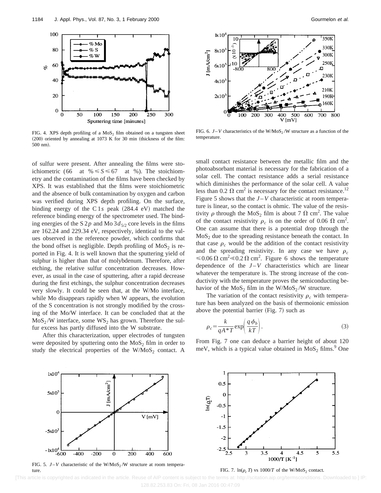

FIG. 4. XPS depth profiling of a  $MoS<sub>2</sub>$  film obtained on a tungsten sheet  $(200)$  oriented by annealing at 1073 K for 30 min (thickness of the film: 500 nm!.

of sulfur were present. After annealing the films were stoichiometric (66 at  $\% \leq S \leq 67$  at %). The stoichiometry and the contamination of the films have been checked by XPS. It was established that the films were stoichiometric and the absence of bulk contamination by oxygen and carbon was verified during XPS depth profiling. On the surface, binding energy of the C  $1s$  peak  $(284.4 \text{ eV})$  matched the reference binding energy of the spectrometer used. The binding energies of the S 2p and Mo  $3d_{5/2}$  core levels in the films are 162.24 and 229.34 eV, respectively, identical to the values observed in the reference powder, which confirms that the bond offset is negligible. Depth profiling of  $MoS<sub>2</sub>$  is reported in Fig. 4. It is well known that the sputtering yield of sulphur is higher than that of molybdenum. Therefore, after etching, the relative sulfur concentration decreases. However, as usual in the case of sputtering, after a rapid decrease during the first etchings, the sulphur concentration decreases very slowly. It could be seen that, at the W/Mo interface, while Mo disappears rapidly when W appears, the evolution of the S concentration is not strongly modified by the crossing of the Mo/W interface. It can be concluded that at the  $MoS_2/W$  interface, some  $WS_2$  has grown. Therefore the sulfur excess has partly diffused into the W substrate.

After this characterization, upper electrodes of tungsten were deposited by sputtering onto the  $MoS<sub>2</sub>$  film in order to study the electrical properties of the  $W/MoS_2$  contact. A



FIG. 6.  $J-V$  characteristics of the W/MoS<sub>2</sub>/W structure as a function of the temperature.

small contact resistance between the metallic film and the photoabsorbant material is necessary for the fabrication of a solar cell. The contact resistance adds a serial resistance which diminishes the performance of the solar cell. A value less than 0.2  $\Omega$  cm<sup>2</sup> is necessary for the contact resistance.<sup>12</sup> Figure 5 shows that the  $J-V$  characteristic at room temperature is linear, so the contact is ohmic. The value of the resistivity  $\rho$  through the MoS<sub>2</sub> film is about 7  $\Omega$  cm<sup>2</sup>. The value of the contact resistivity  $\rho_c$  is on the order of 0.06  $\Omega$  cm<sup>2</sup>. One can assume that there is a potential drop through the  $MoS<sub>2</sub>$  due to the spreading resistance beneath the contact. In that case  $\rho_c$  would be the addition of the contact resistivity and the spreading resistivity. In any case we have  $\rho_c$  $\leq 0.06 \Omega \text{ cm}^2 \leq 0.2 \Omega \text{ cm}^2$ . Figure 6 shows the temperature dependence of the  $J-V$  characteristics which are linear whatever the temperature is. The strong increase of the conductivity with the temperature proves the semiconducting behavior of the  $MoS_2$  film in the  $W/MoS_2/W$  structure.

The variation of the contact resistivity  $\rho_c$  with temperature has been analyzed on the basis of thermoionic emission above the potential barrier  $(Fig. 7)$  such as

$$
\rho_c = \frac{k}{qA \cdot T} \exp\left(\frac{q \phi_b}{kT}\right). \tag{3}
$$

From Fig. 7 one can deduce a barrier height of about 120 meV, which is a typical value obtained in  $MoS<sub>2</sub>$  films.<sup>9</sup> One









 [This article is copyrighted as indicated in the article. Reuse of AIP content is subject to the terms at: http://scitation.aip.org/termsconditions. Downloaded to ] IP: 128.82.253.83 On: Fri, 08 Jan 2016 00:47:09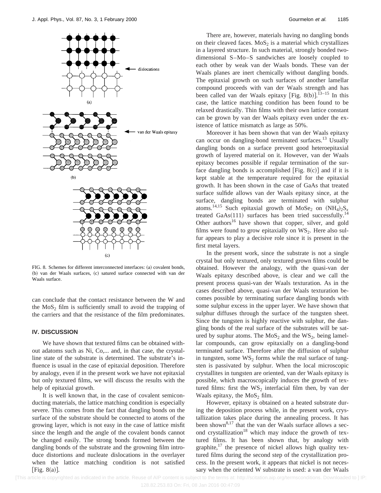

FIG. 8. Schemes for different interconnected interfaces: (a) covalent bonds, (b) van der Waals surfaces, (c) satured surface connected with van der Waals surface.

can conclude that the contact resistance between the W and the  $MoS<sub>2</sub>$  film is sufficiently small to avoid the trapping of the carriers and that the resistance of the film predominates.

#### **IV. DISCUSSION**

We have shown that textured films can be obtained without adatoms such as Ni, Co,... and, in that case, the crystalline state of the substrate is determined. The substrate's influence is usual in the case of epitaxial deposition. Therefore by analogy, even if in the present work we have not epitaxial but only textured films, we will discuss the results with the help of epitaxial growth.

It is well known that, in the case of covalent semiconducting materials, the lattice matching condition is especially severe. This comes from the fact that dangling bonds on the surface of the substrate should be connected to atoms of the growing layer, which is not easy in the case of lattice misfit since the length and the angle of the covalent bonds cannot be changed easily. The strong bonds formed between the dangling bonds of the substrate and the growning film introduce distortions and nucleate dislocations in the overlayer when the lattice matching condition is not satisfied [Fig.  $8(a)$ ].

There are, however, materials having no dangling bonds on their cleaved faces.  $MoS<sub>2</sub>$  is a material which crystallizes in a layered structure. In such material, strongly bonded twodimensional S–Mo–S sandwiches are loosely coupled to each other by weak van der Waals bonds. These van der Waals planes are inert chemically without dangling bonds. The epitaxial growth on such surfaces of another lamellar compound proceeds with van der Waals strength and has been called van der Waals epitaxy [Fig. 8(b)]. $13-15$  In this case, the lattice matching condition has been found to be relaxed drastically. Thin films with their own lattice constant can be grown by van der Waals epitaxy even under the existence of lattice mismatch as large as 50%.

Moreover it has been shown that van der Waals epitaxy can occur on dangling-bond terminated surfaces.<sup>13</sup> Usually dangling bonds on a surface prevent good heteroepitaxial growth of layered material on it. However, van der Waals epitaxy becomes possible if regular termination of the surface dangling bonds is accomplished [Fig. 8 $(c)$ ] and if it is kept stable at the temperature required for the epitaxial growth. It has been shown in the case of GaAs that treated surface sulfide allows van der Waals epitaxy since, at the surface, dangling bonds are terminated with sulphur atoms.<sup>14,15</sup> Such epitaxial growth of MoSe<sub>2</sub> on  $(NH_4)_2S_x$ treated GaAs $(111)$  surfaces has been tried successfully.<sup>1</sup> Other authors<sup>16</sup> have shown that copper, silver, and gold films were found to grow epitaxially on  $WS_2$ . Here also sulfur appears to play a decisive role since it is present in the first metal layers.

In the present work, since the substrate is not a single crystal but only textured, only textured grown films could be obtained. However the analogy, with the quasi-van der Waals epitaxy described above, is clear and we call the present process quasi-van der Waals texturation. As in the cases described above, quasi-van der Waals texturation becomes possible by terminating surface dangling bonds with some sulphur excess in the upper layer. We have shown that sulphur diffuses through the surface of the tungsten sheet. Since the tungsten is highly reactive with sulphur, the dangling bonds of the real surface of the substrates will be satured by suphur atoms. The  $MoS<sub>2</sub>$  and the  $WS<sub>2</sub>$ , being lamellar compounds, can grow epitaxially on a dangling-bond terminated surface. Therefore after the diffusion of sulphur in tungsten, some  $WS_2$  forms while the real surface of tungsten is passivated by sulphur. When the local microscopic crystallites in tungsten are oriented, van der Waals epitaxy is possible, which macroscopically induces the growth of textured films: first the  $WS_2$  interfacial film then, by van der Waals epitaxy, the  $MoS<sub>2</sub>$  film.

However, epitaxy is obtained on a heated substrate during the deposition process while, in the present work, crystallization takes place during the annealing process. It has been shown<sup>8,17</sup> that the van der Waals surface allows a second crystallization<sup>18</sup> which may induce the growth of textured films. It has been shown that, by analogy with graphite, $17$  the presence of nickel allows high quality textured films during the second step of the crystallization process. In the present work, it appears that nickel is not necessary when the oriented W substrate is used: a van der Waals